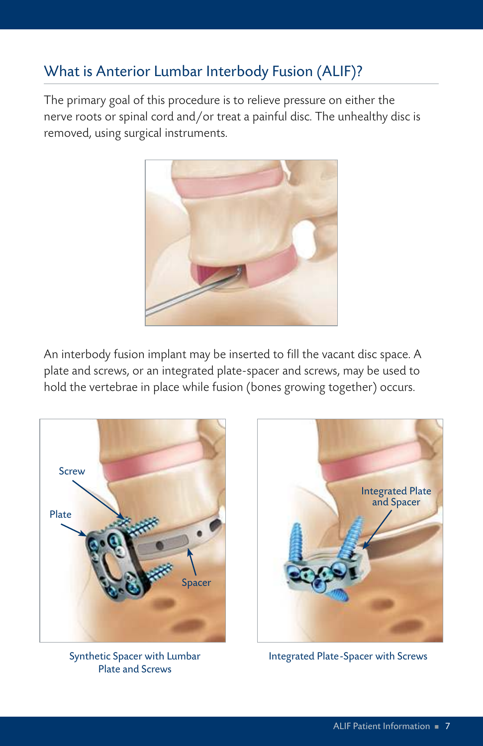## What is Anterior Lumbar Interbody Fusion (ALIF)?

The primary goal of this procedure is to relieve pressure on either the nerve roots or spinal cord and/or treat a painful disc. The unhealthy disc is removed, using surgical instruments.



An interbody fusion implant may be inserted to fill the vacant disc space. A plate and screws, or an integrated plate-spacer and screws, may be used to hold the vertebrae in place while fusion (bones growing together) occurs.



Synthetic Spacer with Lumbar Plate and Screws



Integrated Plate-Spacer with Screws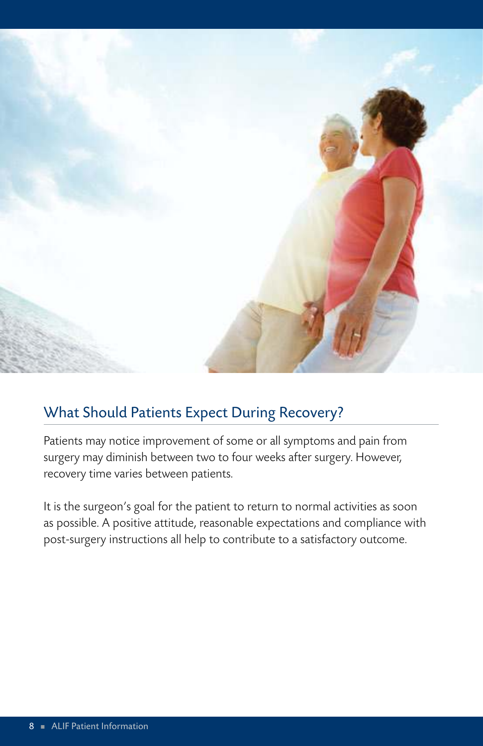

## What Should Patients Expect During Recovery?

Patients may notice improvement of some or all symptoms and pain from surgery may diminish between two to four weeks after surgery. However, recovery time varies between patients.

It is the surgeon's goal for the patient to return to normal activities as soon as possible. A positive attitude, reasonable expectations and compliance with post-surgery instructions all help to contribute to a satisfactory outcome.